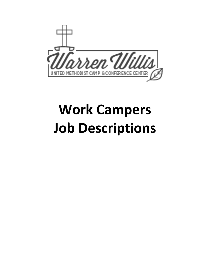

# **Work Campers Job Descriptions**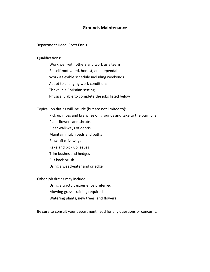## **Grounds Maintenance**

Department Head: Scott Ennis

Qualifications:

Work well with others and work as a team Be self-motivated, honest, and dependable Work a flexible schedule including weekends Adapt to changing work conditions Thrive in a Christian setting Physically able to complete the jobs listed below

Typical job duties will include (but are not limited to):

Pick up moss and branches on grounds and take to the burn pile

- Plant flowers and shrubs
- Clear walkways of debris
- Maintain mulch beds and paths
- Blow off driveways
- Rake and pick up leaves
- Trim bushes and hedges
- Cut back brush
- Using a weed-eater and or edger

Other job duties may include:

Using a tractor, experience preferred

- Mowing grass, training required
- Watering plants, new trees, and flowers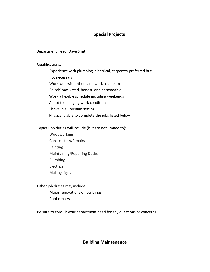# **Special Projects**

#### Department Head: Dave Smith

Qualifications:

Experience with plumbing, electrical, carpentry preferred but not necessary Work well with others and work as a team Be self-motivated, honest, and dependable Work a flexible schedule including weekends Adapt to changing work conditions Thrive in a Christian setting Physically able to complete the jobs listed below

Typical job duties will include (but are not limited to):

Woodworking Construction/Repairs Painting Maintaining/Repairing Docks Plumbing Electrical Making signs

Other job duties may include: Major renovations on buildings Roof repairs

Be sure to consult your department head for any questions or concerns.

# **Building Maintenance**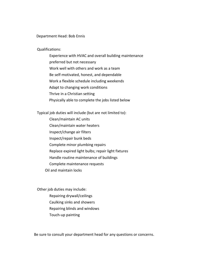#### Department Head: Bob Ennis

#### Qualifications:

Experience with HVAC and overall building maintenance preferred but not necessary Work well with others and work as a team Be self-motivated, honest, and dependable Work a flexible schedule including weekends Adapt to changing work conditions Thrive in a Christian setting Physically able to complete the jobs listed below

Typical job duties will include (but are not limited to):

Clean/maintain AC units Clean/maintain water heaters Inspect/change air filters Inspect/repair bunk beds Complete minor plumbing repairs Replace expired light bulbs; repair light fixtures Handle routine maintenance of buildings Complete maintenance requests Oil and maintain locks

Other job duties may include: Repairing drywall/ceilings Caulking sinks and showers Repairing blinds and windows Touch-up painting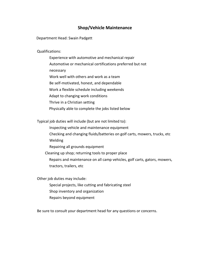# **Shop/Vehicle Maintenance**

Department Head: Swain Padgett

Qualifications:

Experience with automotive and mechanical repair Automotive or mechanical certifications preferred but not necessary Work well with others and work as a team Be self-motivated, honest, and dependable Work a flexible schedule including weekends Adapt to changing work conditions Thrive in a Christian setting Physically able to complete the jobs listed below

Typical job duties will include (but are not limited to):

- Inspecting vehicle and maintenance equipment Checking and changing fluids/batteries on golf carts, mowers, trucks, etc Welding
- Repairing all grounds equipment
- Cleaning up shop; returning tools to proper place
	- Repairs and maintenance on all camp vehicles, golf carts, gators, mowers, tractors, trailers, etc

Other job duties may include:

- Special projects, like cutting and fabricating steel Shop inventory and organization
- Repairs beyond equipment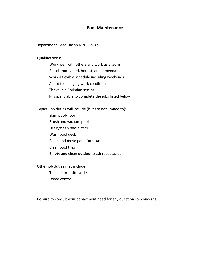## **Pool Maintenance**

Department Head: Jacob McCullough

Qualifications:

Work well with others and work as a team Be self-motivated, honest, and dependable Work a flexible schedule including weekends Adapt to changing work conditions Thrive in a Christian setting Physically able to complete the jobs listed below

Typical job duties will include (but are not limited to):

Skim pool/floor Brush and vacuum pool Drain/clean pool filters Wash pool deck Clean and move patio furniture Clean pool tiles Empty and clean outdoor trash receptacles

Other job duties may include:

Trash pickup site-wide Weed control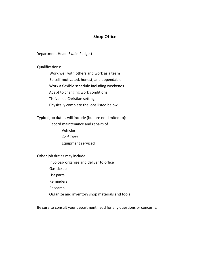# **Shop Office**

Department Head: Swain Padgett

Qualifications:

Work well with others and work as a team Be self-motivated, honest, and dependable Work a flexible schedule including weekends Adapt to changing work conditions Thrive in a Christian setting Physically complete the jobs listed below

Typical job duties will include (but are not limited to):

Record maintenance and repairs of Vehicles Golf Carts Equipment serviced

Other job duties may include:

Invoices- organize and deliver to office Gas tickets List parts Reminders Research

Organize and inventory shop materials and tools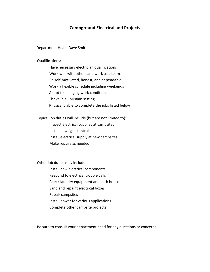# **Campground Electrical and Projects**

Department Head: Dave Smith

#### Qualifications:

Have necessary electrician qualifications Work well with others and work as a team Be self-motivated, honest, and dependable Work a flexible schedule including weekends Adapt to changing work conditions Thrive in a Christian setting Physically able to complete the jobs listed below

Typical job duties will include (but are not limited to): Inspect electrical supplies at campsites Install new light controls Install electrical supply at new campsites

Make repairs as needed

Other job duties may include:

- Install new electrical components
- Respond to electrical trouble calls
- Check laundry equipment and bath house
- Sand and repaint electrical boxes
- Repair campsites
- Install power for various applications
- Complete other campsite projects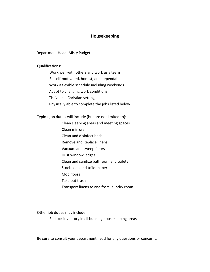# **Housekeeping**

Department Head: Misty Padgett

Qualifications:

Work well with others and work as a team Be self-motivated, honest, and dependable Work a flexible schedule including weekends Adapt to changing work conditions Thrive in a Christian setting Physically able to complete the jobs listed below

Typical job duties will include (but are not limited to):

- Clean sleeping areas and meeting spaces
- Clean mirrors
- Clean and disinfect beds
- Remove and Replace linens
- Vacuum and sweep floors
- Dust window ledges
- Clean and sanitize bathroom and toilets
- Stock soap and toilet paper
- Mop floors
- Take out trash
- Transport linens to and from laundry room

Other job duties may include:

Restock inventory in all building housekeeping areas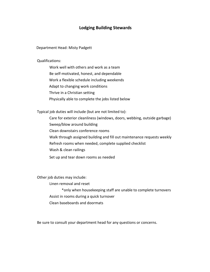## **Lodging Building Stewards**

Department Head: Misty Padgett

Qualifications:

Work well with others and work as a team Be self-motivated, honest, and dependable Work a flexible schedule including weekends Adapt to changing work conditions Thrive in a Christian setting Physically able to complete the jobs listed below

Typical job duties will include (but are not limited to):

Care for exterior cleanliness (windows, doors, webbing, outside garbage)

Sweep/blow around building

Clean downstairs conference rooms

Walk through assigned building and fill out maintenance requests weekly

Refresh rooms when needed, complete supplied checklist

Wash & clean railings

Set up and tear down rooms as needed

Other job duties may include:

Linen removal and reset

\*only when housekeeping staff are unable to complete turnovers Assist in rooms during a quick turnover Clean baseboards and doormats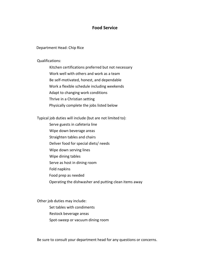## **Food Service**

#### Department Head: Chip Rice

#### Qualifications:

Kitchen certifications preferred but not necessary Work well with others and work as a team Be self-motivated, honest, and dependable Work a flexible schedule including weekends Adapt to changing work conditions Thrive in a Christian setting Physically complete the jobs listed below

Typical job duties will include (but are not limited to):

- Serve guests in cafeteria line
- Wipe down beverage areas
- Straighten tables and chairs
- Deliver food for special diets/ needs
- Wipe down serving lines
- Wipe dining tables
- Serve as host in dining room
- Fold napkins
- Food prep as needed
- Operating the dishwasher and putting clean items away

Other job duties may include:

- Set tables with condiments
- Restock beverage areas
- Spot-sweep or vacuum dining room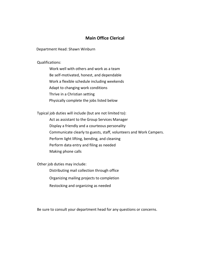# **Main Office Clerical**

Department Head: Shawn Winburn

Qualifications:

Work well with others and work as a team Be self-motivated, honest, and dependable Work a flexible schedule including weekends Adapt to changing work conditions Thrive in a Christian setting Physically complete the jobs listed below

Typical job duties will include (but are not limited to):

Act as assistant to the Group Services Manager Display a friendly and a courteous personality Communicate clearly to guests, staff, volunteers and Work Campers. Perform light lifting, bending, and cleaning Perform data entry and filing as needed Making phone calls

Other job duties may include:

Distributing mail collection through office

Organizing mailing projects to completion

Restocking and organizing as needed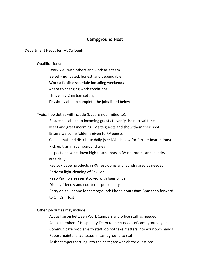## **Campground Host**

#### Department Head: Jen McCullough

#### Qualifications:

Work well with others and work as a team

Be self-motivated, honest, and dependable

Work a flexible schedule including weekends

Adapt to changing work conditions

Thrive in a Christian setting

Physically able to complete the jobs listed below

Typical job duties will include (but are not limited to):

Ensure call ahead to incoming guests to verify their arrival time

Meet and greet incoming RV site guests and show them their spot

Ensure welcome folder is given to RV guests

Collect mail and distribute daily (see MAIL below for further instructions)

Pick up trash in campground area

Inspect and wipe down high touch areas in RV restrooms and laundry area daily

Restock paper products in RV restrooms and laundry area as needed Perform light cleaning of Pavilion

Keep Pavilion freezer stocked with bags of ice

Display friendly and courteous personality

Carry on-call phone for campground: Phone hours 8am-5pm then forward to On Call Host

Other job duties may include:

Act as liaison between Work Campers and office staff as needed Act as member of Hospitality Team to meet needs of campground guests Communicate problems to staff; do not take matters into your own hands Report maintenance issues in campground to staff Assist campers settling into their site; answer visitor questions